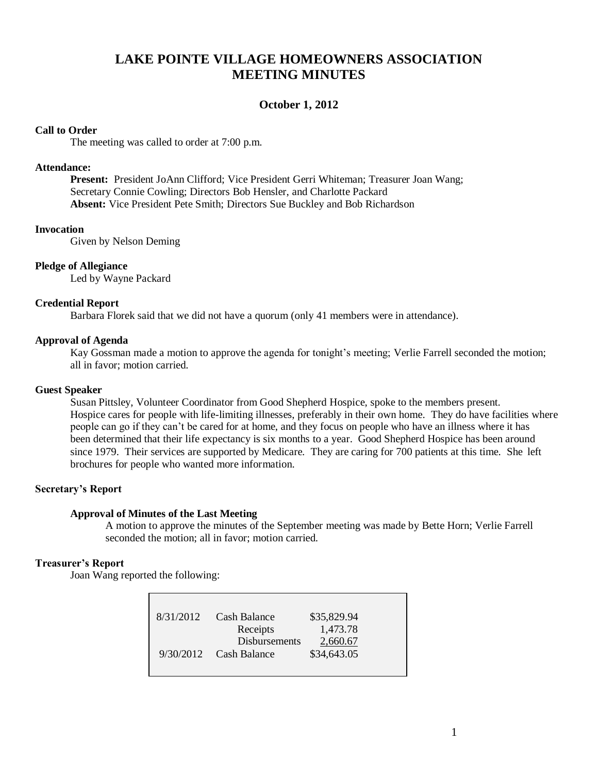# **LAKE POINTE VILLAGE HOMEOWNERS ASSOCIATION MEETING MINUTES**

### **October 1, 2012**

### **Call to Order**

The meeting was called to order at 7:00 p.m.

### **Attendance:**

**Present:** President JoAnn Clifford; Vice President Gerri Whiteman; Treasurer Joan Wang; Secretary Connie Cowling; Directors Bob Hensler, and Charlotte Packard **Absent:** Vice President Pete Smith; Directors Sue Buckley and Bob Richardson

### **Invocation**

Given by Nelson Deming

### **Pledge of Allegiance**

Led by Wayne Packard

### **Credential Report**

Barbara Florek said that we did not have a quorum (only 41 members were in attendance).

### **Approval of Agenda**

Kay Gossman made a motion to approve the agenda for tonight's meeting; Verlie Farrell seconded the motion; all in favor; motion carried.

#### **Guest Speaker**

Susan Pittsley, Volunteer Coordinator from Good Shepherd Hospice, spoke to the members present. Hospice cares for people with life-limiting illnesses, preferably in their own home. They do have facilities where people can go if they can't be cared for at home, and they focus on people who have an illness where it has been determined that their life expectancy is six months to a year. Good Shepherd Hospice has been around since 1979. Their services are supported by Medicare. They are caring for 700 patients at this time. She left brochures for people who wanted more information.

### **Secretary's Report**

#### **Approval of Minutes of the Last Meeting**

A motion to approve the minutes of the September meeting was made by Bette Horn; Verlie Farrell seconded the motion; all in favor; motion carried.

### **Treasurer's Report**

Joan Wang reported the following:

| 8/31/2012 | Cash Balance             | \$35,829.94 |  |
|-----------|--------------------------|-------------|--|
|           | Receipts                 | 1,473.78    |  |
|           | <b>Disbursements</b>     | 2,660.67    |  |
|           | $9/30/2012$ Cash Balance | \$34,643.05 |  |
|           |                          |             |  |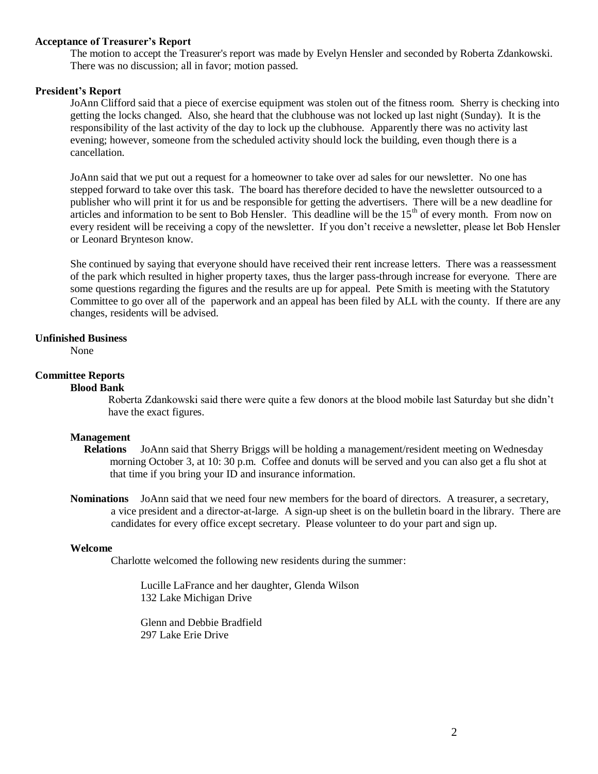### **Acceptance of Treasurer's Report**

The motion to accept the Treasurer's report was made by Evelyn Hensler and seconded by Roberta Zdankowski. There was no discussion; all in favor; motion passed.

### **President's Report**

JoAnn Clifford said that a piece of exercise equipment was stolen out of the fitness room. Sherry is checking into getting the locks changed. Also, she heard that the clubhouse was not locked up last night (Sunday). It is the responsibility of the last activity of the day to lock up the clubhouse. Apparently there was no activity last evening; however, someone from the scheduled activity should lock the building, even though there is a cancellation.

JoAnn said that we put out a request for a homeowner to take over ad sales for our newsletter. No one has stepped forward to take over this task. The board has therefore decided to have the newsletter outsourced to a publisher who will print it for us and be responsible for getting the advertisers. There will be a new deadline for articles and information to be sent to Bob Hensler. This deadline will be the  $15<sup>th</sup>$  of every month. From now on every resident will be receiving a copy of the newsletter. If you don't receive a newsletter, please let Bob Hensler or Leonard Brynteson know.

She continued by saying that everyone should have received their rent increase letters. There was a reassessment of the park which resulted in higher property taxes, thus the larger pass-through increase for everyone. There are some questions regarding the figures and the results are up for appeal. Pete Smith is meeting with the Statutory Committee to go over all of the paperwork and an appeal has been filed by ALL with the county. If there are any changes, residents will be advised.

#### **Unfinished Business**

None

### **Committee Reports**

#### **Blood Bank**

Roberta Zdankowski said there were quite a few donors at the blood mobile last Saturday but she didn't have the exact figures.

#### **Management**

- **Relations** JoAnn said that Sherry Briggs will be holding a management/resident meeting on Wednesday morning October 3, at 10: 30 p.m. Coffee and donuts will be served and you can also get a flu shot at that time if you bring your ID and insurance information.
- **Nominations** JoAnn said that we need four new members for the board of directors. A treasurer, a secretary, a vice president and a director-at-large. A sign-up sheet is on the bulletin board in the library. There are candidates for every office except secretary. Please volunteer to do your part and sign up.

#### **Welcome**

Charlotte welcomed the following new residents during the summer:

Lucille LaFrance and her daughter, Glenda Wilson 132 Lake Michigan Drive

Glenn and Debbie Bradfield 297 Lake Erie Drive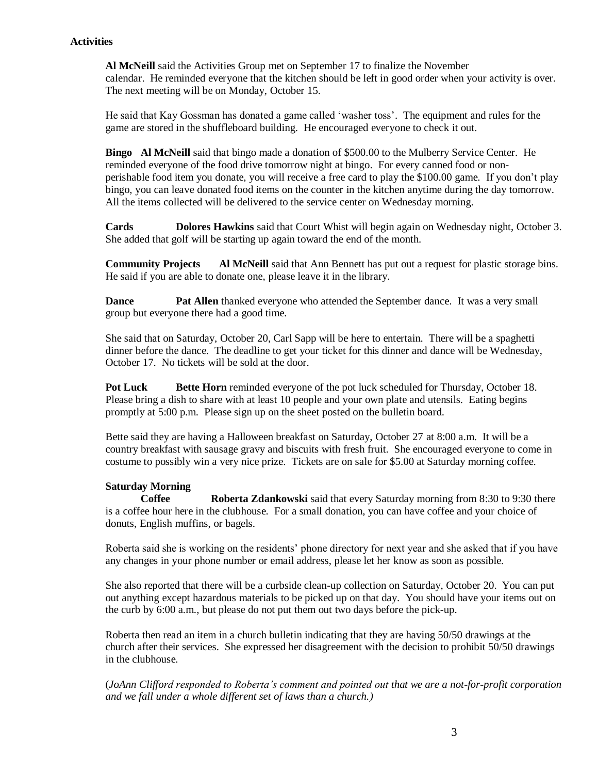### **Activities**

**Al McNeill** said the Activities Group met on September 17 to finalize the November calendar. He reminded everyone that the kitchen should be left in good order when your activity is over. The next meeting will be on Monday, October 15.

He said that Kay Gossman has donated a game called 'washer toss'. The equipment and rules for the game are stored in the shuffleboard building. He encouraged everyone to check it out.

**Bingo Al McNeill** said that bingo made a donation of \$500.00 to the Mulberry Service Center. He reminded everyone of the food drive tomorrow night at bingo. For every canned food or nonperishable food item you donate, you will receive a free card to play the \$100.00 game. If you don't play bingo, you can leave donated food items on the counter in the kitchen anytime during the day tomorrow. All the items collected will be delivered to the service center on Wednesday morning.

**Cards Dolores Hawkins** said that Court Whist will begin again on Wednesday night, October 3. She added that golf will be starting up again toward the end of the month.

**Community Projects** Al McNeill said that Ann Bennett has put out a request for plastic storage bins. He said if you are able to donate one, please leave it in the library.

**Dance Pat Allen** thanked everyone who attended the September dance. It was a very small group but everyone there had a good time.

She said that on Saturday, October 20, Carl Sapp will be here to entertain. There will be a spaghetti dinner before the dance. The deadline to get your ticket for this dinner and dance will be Wednesday, October 17. No tickets will be sold at the door.

**Pot Luck Bette Horn** reminded everyone of the pot luck scheduled for Thursday, October 18. Please bring a dish to share with at least 10 people and your own plate and utensils. Eating begins promptly at 5:00 p.m. Please sign up on the sheet posted on the bulletin board.

Bette said they are having a Halloween breakfast on Saturday, October 27 at 8:00 a.m. It will be a country breakfast with sausage gravy and biscuits with fresh fruit. She encouraged everyone to come in costume to possibly win a very nice prize. Tickets are on sale for \$5.00 at Saturday morning coffee.

### **Saturday Morning**

**Coffee Roberta Zdankowski** said that every Saturday morning from 8:30 to 9:30 there is a coffee hour here in the clubhouse. For a small donation, you can have coffee and your choice of donuts, English muffins, or bagels.

Roberta said she is working on the residents' phone directory for next year and she asked that if you have any changes in your phone number or email address, please let her know as soon as possible.

She also reported that there will be a curbside clean-up collection on Saturday, October 20. You can put out anything except hazardous materials to be picked up on that day. You should have your items out on the curb by 6:00 a.m., but please do not put them out two days before the pick-up.

Roberta then read an item in a church bulletin indicating that they are having 50/50 drawings at the church after their services. She expressed her disagreement with the decision to prohibit 50/50 drawings in the clubhouse.

(*JoAnn Clifford responded to Roberta's comment and pointed out that we are a not-for-profit corporation and we fall under a whole different set of laws than a church.)*